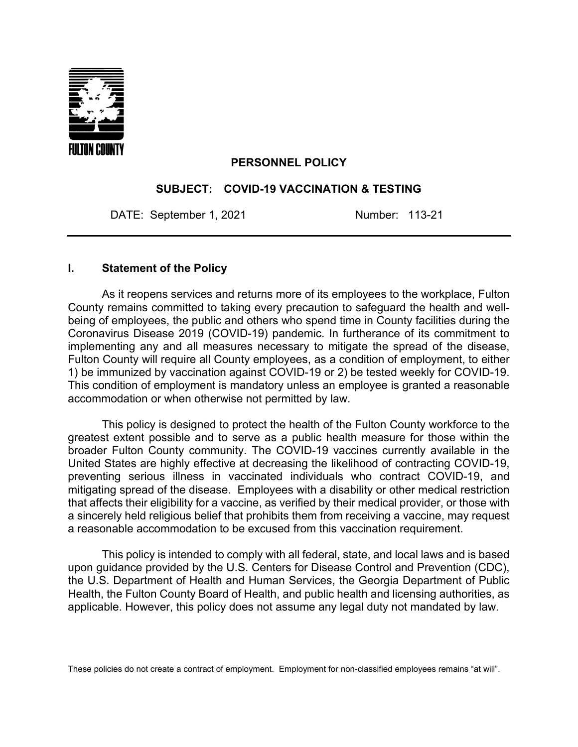

### **PERSONNEL POLICY**

### **SUBJECT: COVID-19 VACCINATION & TESTING**

DATE: September 1, 2021 Number: 113-21

### **I. Statement of the Policy**

As it reopens services and returns more of its employees to the workplace, Fulton County remains committed to taking every precaution to safeguard the health and wellbeing of employees, the public and others who spend time in County facilities during the Coronavirus Disease 2019 (COVID-19) pandemic. In furtherance of its commitment to implementing any and all measures necessary to mitigate the spread of the disease, Fulton County will require all County employees, as a condition of employment, to either 1) be immunized by vaccination against COVID-19 or 2) be tested weekly for COVID-19. This condition of employment is mandatory unless an employee is granted a reasonable accommodation or when otherwise not permitted by law.

This policy is designed to protect the health of the Fulton County workforce to the greatest extent possible and to serve as a public health measure for those within the broader Fulton County community. The COVID-19 vaccines currently available in the United States are highly effective at decreasing the likelihood of contracting COVID-19, preventing serious illness in vaccinated individuals who contract COVID-19, and mitigating spread of the disease. Employees with a disability or other medical restriction that affects their eligibility for a vaccine, as verified by their medical provider, or those with a sincerely held religious belief that prohibits them from receiving a vaccine, may request a reasonable accommodation to be excused from this vaccination requirement.

This policy is intended to comply with all federal, state, and local laws and is based upon guidance provided by the U.S. Centers for Disease Control and Prevention (CDC), the U.S. Department of Health and Human Services, the Georgia Department of Public Health, the Fulton County Board of Health, and public health and licensing authorities, as applicable. However, this policy does not assume any legal duty not mandated by law.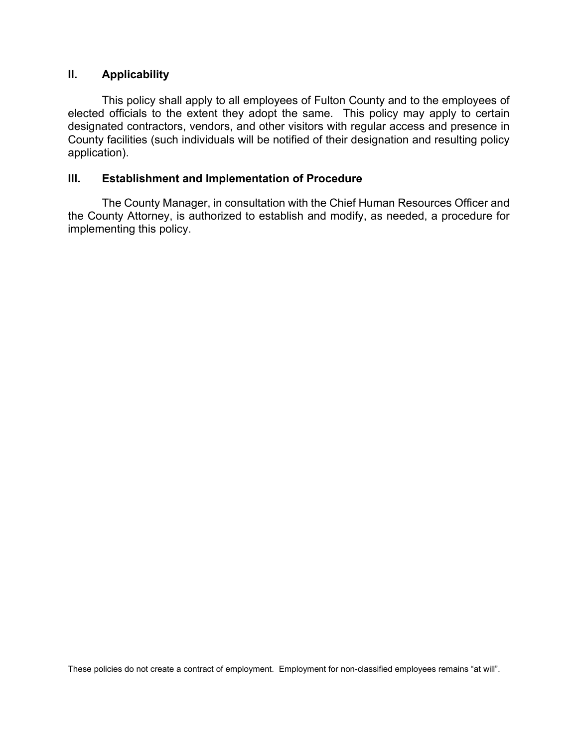## **II. Applicability**

This policy shall apply to all employees of Fulton County and to the employees of elected officials to the extent they adopt the same. This policy may apply to certain designated contractors, vendors, and other visitors with regular access and presence in County facilities (such individuals will be notified of their designation and resulting policy application).

## **III. Establishment and Implementation of Procedure**

The County Manager, in consultation with the Chief Human Resources Officer and the County Attorney, is authorized to establish and modify, as needed, a procedure for implementing this policy.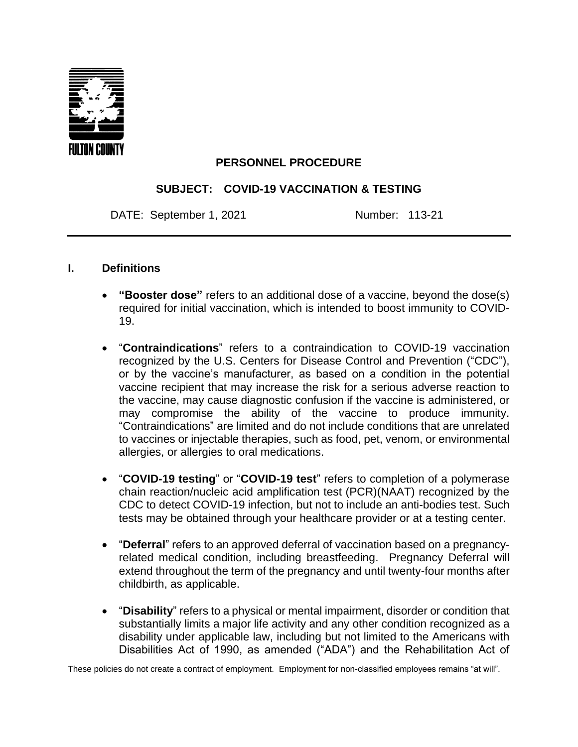

# **PERSONNEL PROCEDURE**

## **SUBJECT: COVID-19 VACCINATION & TESTING**

DATE: September 1, 2021 Number: 113-21

### **I. Definitions**

- **"Booster dose"** refers to an additional dose of a vaccine, beyond the dose(s) required for initial vaccination, which is intended to boost immunity to COVID-19.
- "**Contraindications**" refers to a contraindication to COVID-19 vaccination recognized by the U.S. Centers for Disease Control and Prevention ("CDC"), or by the vaccine's manufacturer, as based on a condition in the potential vaccine recipient that may increase the risk for a serious adverse reaction to the vaccine, may cause diagnostic confusion if the vaccine is administered, or may compromise the ability of the vaccine to produce immunity. "Contraindications" are limited and do not include conditions that are unrelated to vaccines or injectable therapies, such as food, pet, venom, or environmental allergies, or allergies to oral medications.
- "**COVID-19 testing**" or "**COVID-19 test**" refers to completion of a polymerase chain reaction/nucleic acid amplification test (PCR)(NAAT) recognized by the CDC to detect COVID-19 infection, but not to include an anti-bodies test. Such tests may be obtained through your healthcare provider or at a testing center.
- "**Deferral**" refers to an approved deferral of vaccination based on a pregnancyrelated medical condition, including breastfeeding. Pregnancy Deferral will extend throughout the term of the pregnancy and until twenty-four months after childbirth, as applicable.
- "**Disability**" refers to a physical or mental impairment, disorder or condition that substantially limits a major life activity and any other condition recognized as a disability under applicable law, including but not limited to the Americans with Disabilities Act of 1990, as amended ("ADA") and the Rehabilitation Act of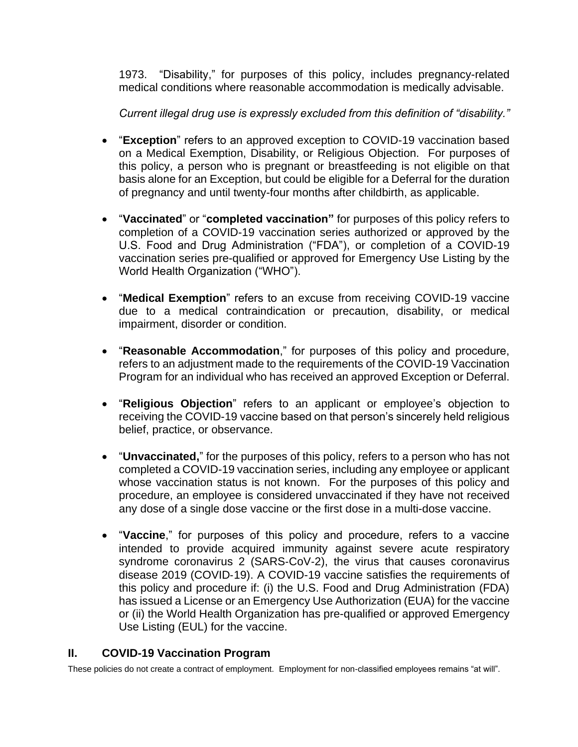1973. "Disability," for purposes of this policy, includes pregnancy-related medical conditions where reasonable accommodation is medically advisable.

*Current illegal drug use is expressly excluded from this definition of "disability."*

- "**Exception**" refers to an approved exception to COVID-19 vaccination based on a Medical Exemption, Disability, or Religious Objection. For purposes of this policy, a person who is pregnant or breastfeeding is not eligible on that basis alone for an Exception, but could be eligible for a Deferral for the duration of pregnancy and until twenty-four months after childbirth, as applicable.
- "**Vaccinated**" or "**completed vaccination"** for purposes of this policy refers to completion of a COVID-19 vaccination series authorized or approved by the U.S. Food and Drug Administration ("FDA"), or completion of a COVID-19 vaccination series pre-qualified or approved for Emergency Use Listing by the World Health Organization ("WHO").
- "**Medical Exemption**" refers to an excuse from receiving COVID-19 vaccine due to a medical contraindication or precaution, disability, or medical impairment, disorder or condition.
- **"Reasonable Accommodation**," for purposes of this policy and procedure, refers to an adjustment made to the requirements of the COVID-19 Vaccination Program for an individual who has received an approved Exception or Deferral.
- "**Religious Objection**" refers to an applicant or employee's objection to receiving the COVID-19 vaccine based on that person's sincerely held religious belief, practice, or observance.
- "**Unvaccinated,**" for the purposes of this policy, refers to a person who has not completed a COVID-19 vaccination series, including any employee or applicant whose vaccination status is not known. For the purposes of this policy and procedure, an employee is considered unvaccinated if they have not received any dose of a single dose vaccine or the first dose in a multi-dose vaccine.
- "**Vaccine**," for purposes of this policy and procedure, refers to a vaccine intended to provide acquired immunity against severe acute respiratory syndrome coronavirus 2 (SARS-CoV-2), the virus that causes coronavirus disease 2019 (COVID‑19). A COVID-19 vaccine satisfies the requirements of this policy and procedure if: (i) the U.S. Food and Drug Administration (FDA) has issued a License or an Emergency Use Authorization (EUA) for the vaccine or (ii) the World Health Organization has pre-qualified or approved Emergency Use Listing (EUL) for the vaccine.

# **II. COVID-19 Vaccination Program**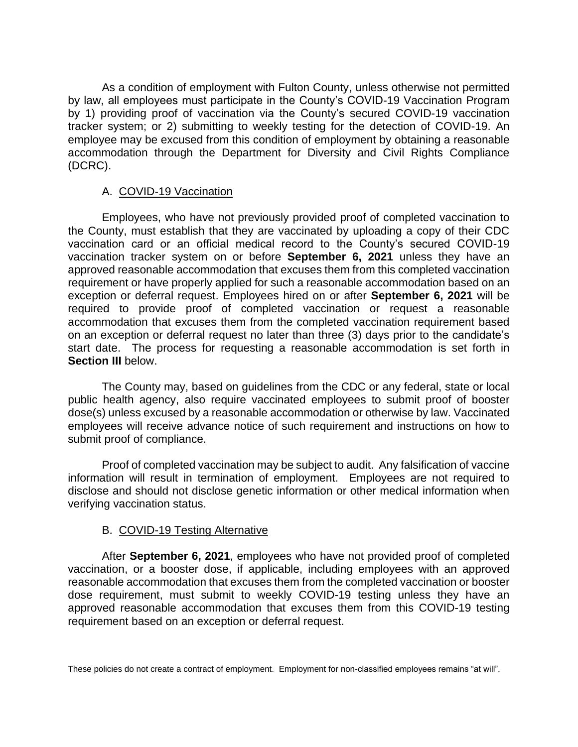As a condition of employment with Fulton County, unless otherwise not permitted by law, all employees must participate in the County's COVID-19 Vaccination Program by 1) providing proof of vaccination via the County's secured COVID-19 vaccination tracker system; or 2) submitting to weekly testing for the detection of COVID-19. An employee may be excused from this condition of employment by obtaining a reasonable accommodation through the Department for Diversity and Civil Rights Compliance (DCRC).

## A. COVID-19 Vaccination

Employees, who have not previously provided proof of completed vaccination to the County, must establish that they are vaccinated by uploading a copy of their CDC vaccination card or an official medical record to the County's secured COVID-19 vaccination tracker system on or before **September 6, 2021** unless they have an approved reasonable accommodation that excuses them from this completed vaccination requirement or have properly applied for such a reasonable accommodation based on an exception or deferral request. Employees hired on or after **September 6, 2021** will be required to provide proof of completed vaccination or request a reasonable accommodation that excuses them from the completed vaccination requirement based on an exception or deferral request no later than three (3) days prior to the candidate's start date. The process for requesting a reasonable accommodation is set forth in **Section III** below.

The County may, based on guidelines from the CDC or any federal, state or local public health agency, also require vaccinated employees to submit proof of booster dose(s) unless excused by a reasonable accommodation or otherwise by law. Vaccinated employees will receive advance notice of such requirement and instructions on how to submit proof of compliance.

Proof of completed vaccination may be subject to audit. Any falsification of vaccine information will result in termination of employment. Employees are not required to disclose and should not disclose genetic information or other medical information when verifying vaccination status.

### B. COVID-19 Testing Alternative

After **September 6, 2021**, employees who have not provided proof of completed vaccination, or a booster dose, if applicable, including employees with an approved reasonable accommodation that excuses them from the completed vaccination or booster dose requirement, must submit to weekly COVID-19 testing unless they have an approved reasonable accommodation that excuses them from this COVID-19 testing requirement based on an exception or deferral request.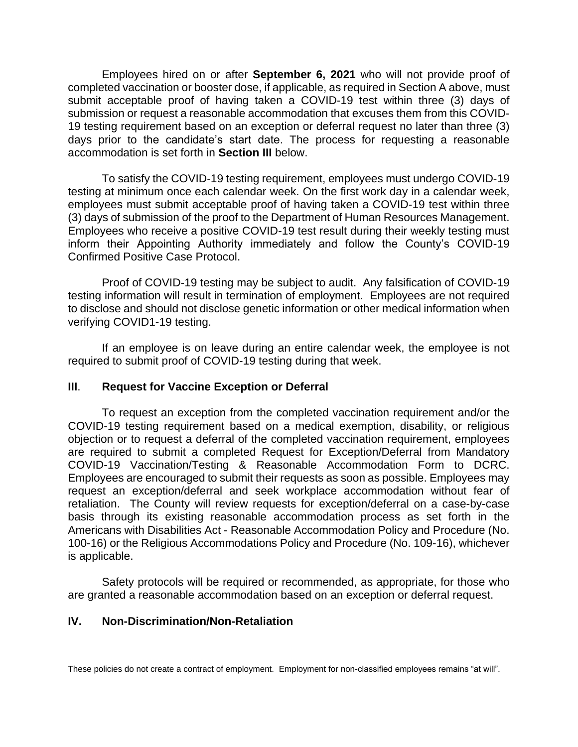Employees hired on or after **September 6, 2021** who will not provide proof of completed vaccination or booster dose, if applicable, as required in Section A above, must submit acceptable proof of having taken a COVID-19 test within three (3) days of submission or request a reasonable accommodation that excuses them from this COVID-19 testing requirement based on an exception or deferral request no later than three (3) days prior to the candidate's start date. The process for requesting a reasonable accommodation is set forth in **Section III** below.

To satisfy the COVID-19 testing requirement, employees must undergo COVID-19 testing at minimum once each calendar week. On the first work day in a calendar week, employees must submit acceptable proof of having taken a COVID-19 test within three (3) days of submission of the proof to the Department of Human Resources Management. Employees who receive a positive COVID-19 test result during their weekly testing must inform their Appointing Authority immediately and follow the County's COVID-19 Confirmed Positive Case Protocol.

Proof of COVID-19 testing may be subject to audit. Any falsification of COVID-19 testing information will result in termination of employment. Employees are not required to disclose and should not disclose genetic information or other medical information when verifying COVID1-19 testing.

If an employee is on leave during an entire calendar week, the employee is not required to submit proof of COVID-19 testing during that week.

### **III**. **Request for Vaccine Exception or Deferral**

To request an exception from the completed vaccination requirement and/or the COVID-19 testing requirement based on a medical exemption, disability, or religious objection or to request a deferral of the completed vaccination requirement, employees are required to submit a completed Request for Exception/Deferral from Mandatory COVID-19 Vaccination/Testing & Reasonable Accommodation Form to DCRC. Employees are encouraged to submit their requests as soon as possible. Employees may request an exception/deferral and seek workplace accommodation without fear of retaliation. The County will review requests for exception/deferral on a case-by-case basis through its existing reasonable accommodation process as set forth in the Americans with Disabilities Act - Reasonable Accommodation Policy and Procedure (No. 100-16) or the Religious Accommodations Policy and Procedure (No. 109-16), whichever is applicable.

Safety protocols will be required or recommended, as appropriate, for those who are granted a reasonable accommodation based on an exception or deferral request.

### **IV. Non-Discrimination/Non-Retaliation**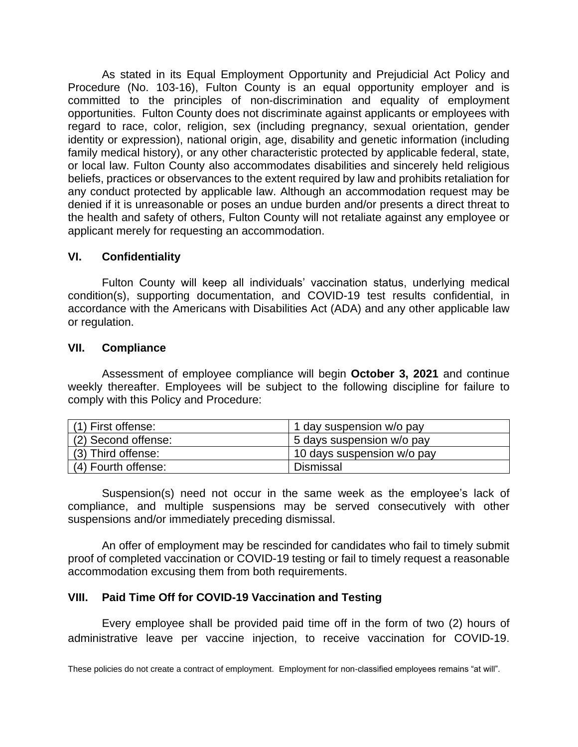As stated in its Equal Employment Opportunity and Prejudicial Act Policy and Procedure (No. 103-16), Fulton County is an equal opportunity employer and is committed to the principles of non-discrimination and equality of employment opportunities. Fulton County does not discriminate against applicants or employees with regard to race, color, religion, sex (including pregnancy, sexual orientation, gender identity or expression), national origin, age, disability and genetic information (including family medical history), or any other characteristic protected by applicable federal, state, or local law. Fulton County also accommodates disabilities and sincerely held religious beliefs, practices or observances to the extent required by law and prohibits retaliation for any conduct protected by applicable law. Although an accommodation request may be denied if it is unreasonable or poses an undue burden and/or presents a direct threat to the health and safety of others, Fulton County will not retaliate against any employee or applicant merely for requesting an accommodation.

### **VI. Confidentiality**

Fulton County will keep all individuals' vaccination status, underlying medical condition(s), supporting documentation, and COVID-19 test results confidential, in accordance with the Americans with Disabilities Act (ADA) and any other applicable law or regulation.

### **VII. Compliance**

Assessment of employee compliance will begin **October 3, 2021** and continue weekly thereafter. Employees will be subject to the following discipline for failure to comply with this Policy and Procedure:

| (1) First offense:  | 1 day suspension w/o pay   |
|---------------------|----------------------------|
| (2) Second offense: | 5 days suspension w/o pay  |
| (3) Third offense:  | 10 days suspension w/o pay |
| (4) Fourth offense: | <b>Dismissal</b>           |

Suspension(s) need not occur in the same week as the employee's lack of compliance, and multiple suspensions may be served consecutively with other suspensions and/or immediately preceding dismissal.

An offer of employment may be rescinded for candidates who fail to timely submit proof of completed vaccination or COVID-19 testing or fail to timely request a reasonable accommodation excusing them from both requirements.

# **VIII. Paid Time Off for COVID-19 Vaccination and Testing**

Every employee shall be provided paid time off in the form of two (2) hours of administrative leave per vaccine injection, to receive vaccination for COVID-19.